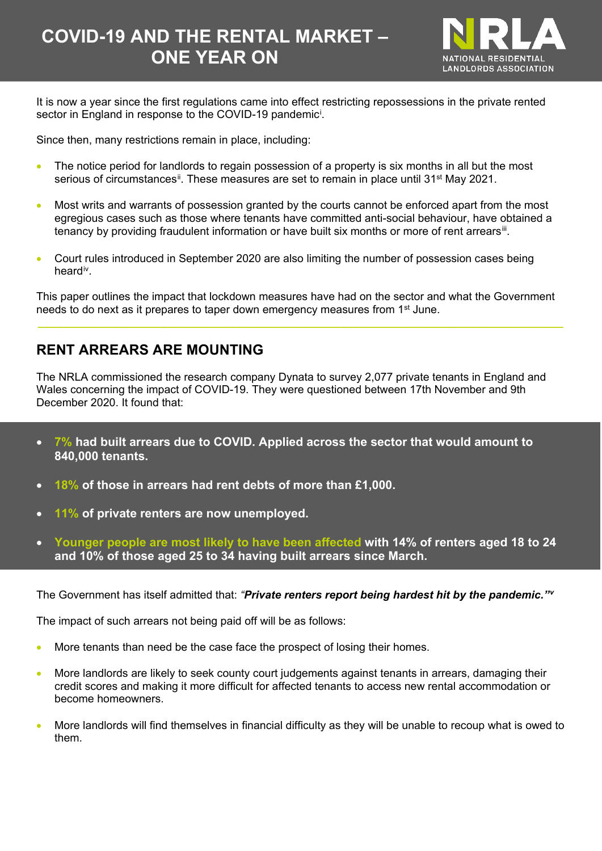# **COVID-19 AND THE RENTAL MARKET – ONE YEAR ON**



It is now a year since the first regulations came into effect restricting repossessions in the private rented sector [i](#page-5-0)n England in response to the COVID-19 pandemic<sup>i</sup>.

Since then, many restrictions remain in place, including:

- The notice period for landlords to regain possession of a property is six months in all but the most serious of circumstances<sup>ii</sup>. These measures are set to remain in place until 31<sup>st</sup> May 2021.
- Most writs and warrants of possession granted by the courts cannot be enforced apart from the most egregious cases such as those where tenants have committed anti-social behaviour, have obtained a tenancy by providing fraudulent information or have built six months or more of rent arrears<sup>[iii](#page-5-2)</sup>.
- Court rules introduced in September 2020 are also limiting the number of possession cases being heard<sup>iv</sup>.

This paper outlines the impact that lockdown measures have had on the sector and what the Government needs to do next as it prepares to taper down emergency measures from 1st June.

**\_\_\_\_\_\_\_\_\_\_\_\_\_\_\_\_\_\_\_\_\_\_\_\_\_\_\_\_\_\_\_\_\_\_\_\_\_\_\_\_\_\_\_\_\_\_\_\_\_\_\_\_\_\_\_\_\_\_\_\_\_\_\_\_\_\_\_\_\_\_\_\_\_\_\_\_\_\_\_\_\_\_\_\_\_**

## **RENT ARREARS ARE MOUNTING**

The NRLA commissioned the research company Dynata to survey 2,077 private tenants in England and Wales concerning the impact of COVID-19. They were questioned between 17th November and 9th December 2020. It found that:

- **7% had built arrears due to COVID. Applied across the sector that would amount to 840,000 tenants.**
- **18% of those in arrears had rent debts of more than £1,000.**
- **11% of private renters are now unemployed.**
- **Younger people are most likely to have been affected with 14% of renters aged 18 to 24 and 10% of those aged 25 to 34 having built arrears since March.**

The Government has itself admitted that: *"Private renters report being hardest hit by the pandemic."[v](#page-5-4)*

The impact of such arrears not being paid off will be as follows:

- More tenants than need be the case face the prospect of losing their homes.
- More landlords are likely to seek county court judgements against tenants in arrears, damaging their credit scores and making it more difficult for affected tenants to access new rental accommodation or become homeowners.
- More landlords will find themselves in financial difficulty as they will be unable to recoup what is owed to them.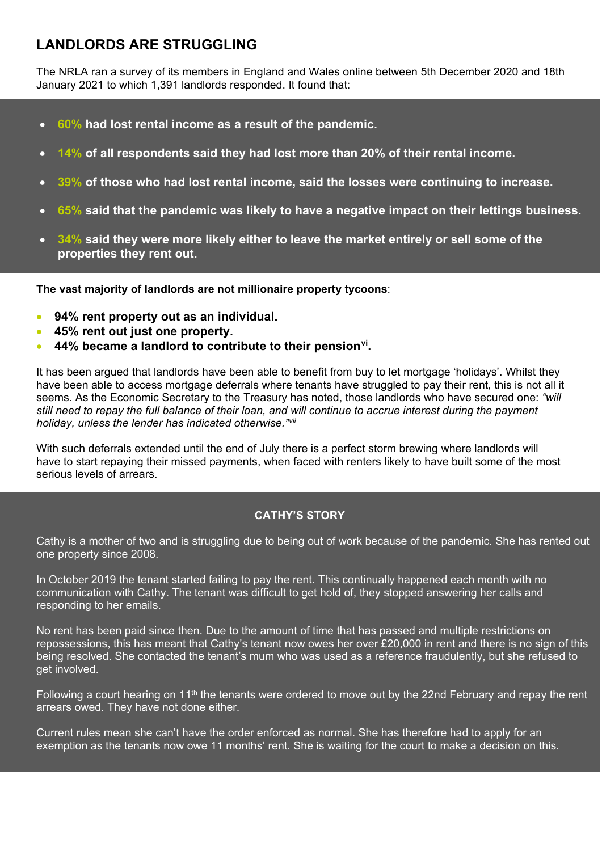# **LANDLORDS ARE STRUGGLING**

The NRLA ran a survey of its members in England and Wales online between 5th December 2020 and 18th January 2021 to which 1,391 landlords responded. It found that:

- **60% had lost rental income as a result of the pandemic.**
- **14% of all respondents said they had lost more than 20% of their rental income.**
- **39% of those who had lost rental income, said the losses were continuing to increase.**
- **65% said that the pandemic was likely to have a negative impact on their lettings business.**
- **34% said they were more likely either to leave the market entirely or sell some of the properties they rent out.**

 **The vast majority of landlords are not millionaire property tycoons**:

- **94% rent property out as an individual.**
- **45% rent out just one property.**
- **44% became a landlord to contribute to their pension[vi.](#page-5-5)**

It has been argued that landlords have been able to benefit from buy to let mortgage 'holidays'. Whilst they have been able to access mortgage deferrals where tenants have struggled to pay their rent, this is not all it seems. As the Economic Secretary to the Treasury has noted, those landlords who have secured one: *"will still need to repay the full balance of their loan, and will continue to accrue interest during the payment holiday, unless the lender has indicated otherwise."[vii](#page-5-6)*

With such deferrals extended until the end of July there is a perfect storm brewing where landlords will have to start repaying their missed payments, when faced with renters likely to have built some of the most serious levels of arrears.

#### **CATHY'S STORY**

Cathy is a mother of two and is struggling due to being out of work because of the pandemic. She has rented out one property since 2008.

In October 2019 the tenant started failing to pay the rent. This continually happened each month with no communication with Cathy. The tenant was difficult to get hold of, they stopped answering her calls and responding to her emails.

No rent has been paid since then. Due to the amount of time that has passed and multiple restrictions on repossessions, this has meant that Cathy's tenant now owes her over £20,000 in rent and there is no sign of this being resolved. She contacted the tenant's mum who was used as a reference fraudulently, but she refused to get involved.

Following a court hearing on 11<sup>th</sup> the tenants were ordered to move out by the 22nd February and repay the rent arrears owed. They have not done either.

Current rules mean she can't have the order enforced as normal. She has therefore had to apply for an exemption as the tenants now owe 11 months' rent. She is waiting for the court to make a decision on this.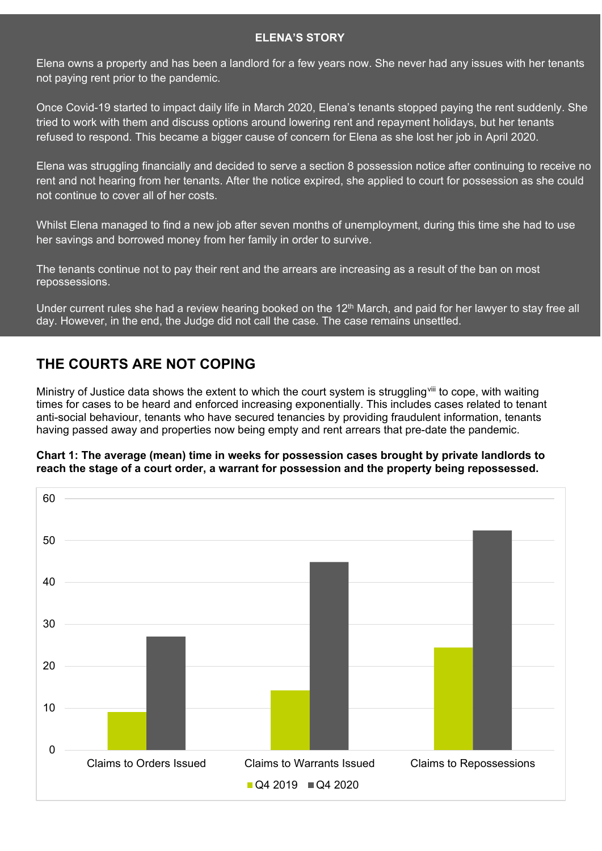#### **ELENA'S STORY**

Elena owns a property and has been a landlord for a few years now. She never had any issues with her tenants not paying rent prior to the pandemic.

Once Covid-19 started to impact daily life in March 2020, Elena's tenants stopped paying the rent suddenly. She tried to work with them and discuss options around lowering rent and repayment holidays, but her tenants refused to respond. This became a bigger cause of concern for Elena as she lost her job in April 2020.

Elena was struggling financially and decided to serve a section 8 possession notice after continuing to receive no rent and not hearing from her tenants. After the notice expired, she applied to court for possession as she could not continue to cover all of her costs.

Whilst Elena managed to find a new job after seven months of unemployment, during this time she had to use her savings and borrowed money from her family in order to survive.

The tenants continue not to pay their rent and the arrears are increasing as a result of the ban on most repossessions.

Under current rules she had a review hearing booked on the 12<sup>th</sup> March, and paid for her lawyer to stay free all day. However, in the end, the Judge did not call the case. The case remains unsettled.

## **THE COURTS ARE NOT COPING**

Ministry of Justice data shows the extent to which the court system is struggling<sup>[viii](#page-5-7)</sup> to cope, with waiting times for cases to be heard and enforced increasing exponentially. This includes cases related to tenant anti-social behaviour, tenants who have secured tenancies by providing fraudulent information, tenants having passed away and properties now being empty and rent arrears that pre-date the pandemic.

#### **Chart 1: The average (mean) time in weeks for possession cases brought by private landlords to reach the stage of a court order, a warrant for possession and the property being repossessed.**

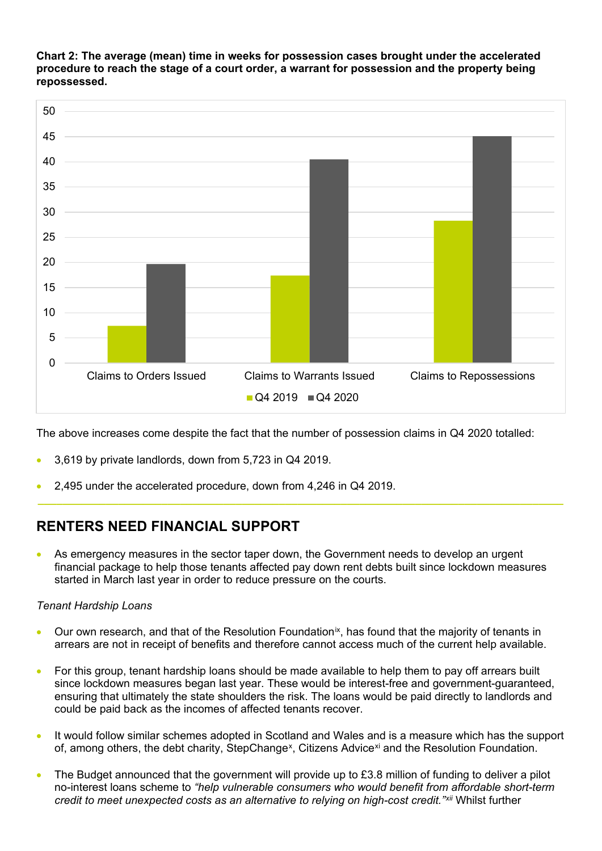**Chart 2: The average (mean) time in weeks for possession cases brought under the accelerated procedure to reach the stage of a court order, a warrant for possession and the property being repossessed.**



The above increases come despite the fact that the number of possession claims in Q4 2020 totalled:

- 3,619 by private landlords, down from 5,723 in Q4 2019.
- 2,495 under the accelerated procedure, down from 4,246 in Q4 2019.

### **RENTERS NEED FINANCIAL SUPPORT**

As emergency measures in the sector taper down, the Government needs to develop an urgent financial package to help those tenants affected pay down rent debts built since lockdown measures started in March last year in order to reduce pressure on the courts.

**\_\_\_\_\_\_\_\_\_\_\_\_\_\_\_\_\_\_\_\_\_\_\_\_\_\_\_\_\_\_\_\_\_\_\_\_\_\_\_\_\_\_\_\_\_\_\_\_\_\_\_\_\_\_\_\_\_\_\_\_\_\_\_\_\_\_\_\_\_\_\_\_\_\_\_\_\_\_\_\_\_\_\_\_\_**

#### *Tenant Hardship Loans*

- Our own research, and that of the Resolution Foundation[ix,](#page-5-8) has found that the majority of tenants in arrears are not in receipt of benefits and therefore cannot access much of the current help available.
- For this group, tenant hardship loans should be made available to help them to pay off arrears built since lockdown measures began last year. These would be interest-free and government-guaranteed, ensuring that ultimately the state shoulders the risk. The loans would be paid directly to landlords and could be paid back as the incomes of affected tenants recover.
- It would follow similar schemes adopted in Scotland and Wales and is a measure which has the support of, among others, the debt charity, StepChange<sup>[x](#page-5-9)</sup>, Citizens Advice<sup>[xi](#page-5-10)</sup> and the Resolution Foundation.
- The Budget announced that the government will provide up to £3.8 million of funding to deliver a pilot no-interest loans scheme to *"help vulnerable consumers who would benefit from affordable short-term credit to meet unexpected costs as an alternative to relying on high-cost credit."[xii](#page-5-11)* Whilst further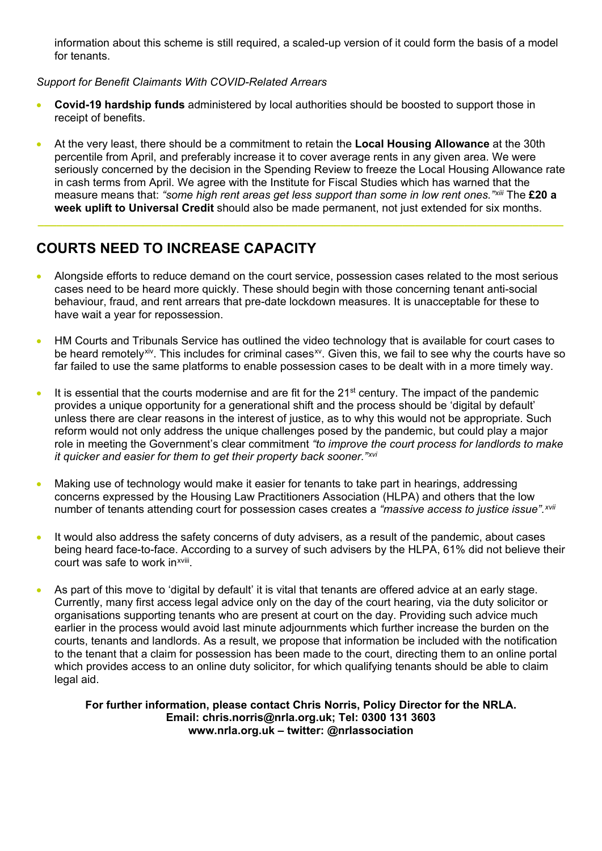information about this scheme is still required, a scaled-up version of it could form the basis of a model for tenants.

#### *Support for Benefit Claimants With COVID-Related Arrears*

- **Covid-19 hardship funds** administered by local authorities should be boosted to support those in receipt of benefits.
- At the very least, there should be a commitment to retain the **Local Housing Allowance** at the 30th percentile from April, and preferably increase it to cover average rents in any given area. We were seriously concerned by the decision in the Spending Review to freeze the Local Housing Allowance rate in cash terms from April. We agree with the Institute for Fiscal Studies which has warned that the measure means that: *"some high rent areas get less support than some in low rent ones."[xiii](#page-5-12)* The **£20 a week uplift to Universal Credit** should also be made permanent, not just extended for six months.

**\_\_\_\_\_\_\_\_\_\_\_\_\_\_\_\_\_\_\_\_\_\_\_\_\_\_\_\_\_\_\_\_\_\_\_\_\_\_\_\_\_\_\_\_\_\_\_\_\_\_\_\_\_\_\_\_\_\_\_\_\_\_\_\_\_\_\_\_\_\_\_\_\_\_\_\_\_\_\_\_\_\_\_\_\_**

# **COURTS NEED TO INCREASE CAPACITY**

- Alongside efforts to reduce demand on the court service, possession cases related to the most serious cases need to be heard more quickly. These should begin with those concerning tenant anti-social behaviour, fraud, and rent arrears that pre-date lockdown measures. It is unacceptable for these to have wait a year for repossession.
- HM Courts and Tribunals Service has outlined the video technology that is available for court cases to be heard remotely[xiv.](#page-5-13) This includes for criminal cases<sup>xy</sup>. Given this, we fail to see why the courts have so far failed to use the same platforms to enable possession cases to be dealt with in a more timely way.
- $\bullet$  It is essential that the courts modernise and are fit for the 21<sup>st</sup> century. The impact of the pandemic provides a unique opportunity for a generational shift and the process should be 'digital by default' unless there are clear reasons in the interest of justice, as to why this would not be appropriate. Such reform would not only address the unique challenges posed by the pandemic, but could play a major role in meeting the Government's clear commitment *"to improve the court process for landlords to make it quicker and easier for them to get their property back sooner."[xvi](#page-5-15)*
- Making use of technology would make it easier for tenants to take part in hearings, addressing concerns expressed by the Housing Law Practitioners Association (HLPA) and others that the low number of tenants attending court for possession cases creates a *"massive access to justice issue".[xvii](#page-5-16)*
- It would also address the safety concerns of duty advisers, as a result of the pandemic, about cases being heard face-to-face. According to a survey of such advisers by the HLPA, 61% did not believe their court was safe to work inxvii[i.](#page-5-17)
- As part of this move to 'digital by default' it is vital that tenants are offered advice at an early stage. Currently, many first access legal advice only on the day of the court hearing, via the duty solicitor or organisations supporting tenants who are present at court on the day. Providing such advice much earlier in the process would avoid last minute adjournments which further increase the burden on the courts, tenants and landlords. As a result, we propose that information be included with the notification to the tenant that a claim for possession has been made to the court, directing them to an online portal which provides access to an online duty solicitor, for which qualifying tenants should be able to claim legal aid.

**For further information, please contact Chris Norris, Policy Director for the NRLA. Email: chris.norris@nrla.org.uk; Tel: 0300 131 3603 [www.nrla.org.uk](http://www.nrla.org.uk/) – twitter: @nrlassociation**